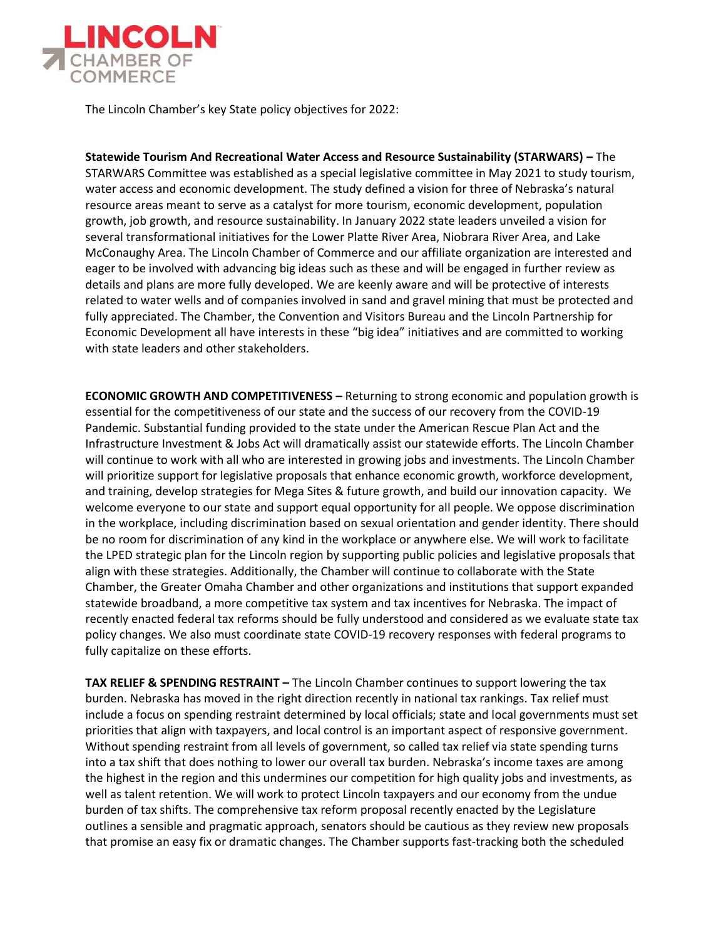

The Lincoln Chamber's key State policy objectives for 2022:

**Statewide Tourism And Recreational Water Access and Resource Sustainability (STARWARS) –** The STARWARS Committee was established as a special legislative committee in May 2021 to study tourism, water access and economic development. The study defined a vision for three of Nebraska's natural resource areas meant to serve as a catalyst for more tourism, economic development, population growth, job growth, and resource sustainability. In January 2022 state leaders unveiled a vision for several transformational initiatives for the Lower Platte River Area, Niobrara River Area, and Lake McConaughy Area. The Lincoln Chamber of Commerce and our affiliate organization are interested and eager to be involved with advancing big ideas such as these and will be engaged in further review as details and plans are more fully developed. We are keenly aware and will be protective of interests related to water wells and of companies involved in sand and gravel mining that must be protected and fully appreciated. The Chamber, the Convention and Visitors Bureau and the Lincoln Partnership for Economic Development all have interests in these "big idea" initiatives and are committed to working with state leaders and other stakeholders.

**ECONOMIC GROWTH AND COMPETITIVENESS –** Returning to strong economic and population growth is essential for the competitiveness of our state and the success of our recovery from the COVID-19 Pandemic. Substantial funding provided to the state under the American Rescue Plan Act and the Infrastructure Investment & Jobs Act will dramatically assist our statewide efforts. The Lincoln Chamber will continue to work with all who are interested in growing jobs and investments. The Lincoln Chamber will prioritize support for legislative proposals that enhance economic growth, workforce development, and training, develop strategies for Mega Sites & future growth, and build our innovation capacity. We welcome everyone to our state and support equal opportunity for all people. We oppose discrimination in the workplace, including discrimination based on sexual orientation and gender identity. There should be no room for discrimination of any kind in the workplace or anywhere else. We will work to facilitate the LPED strategic plan for the Lincoln region by supporting public policies and legislative proposals that align with these strategies. Additionally, the Chamber will continue to collaborate with the State Chamber, the Greater Omaha Chamber and other organizations and institutions that support expanded statewide broadband, a more competitive tax system and tax incentives for Nebraska. The impact of recently enacted federal tax reforms should be fully understood and considered as we evaluate state tax policy changes. We also must coordinate state COVID-19 recovery responses with federal programs to fully capitalize on these efforts.

**TAX RELIEF & SPENDING RESTRAINT** – The Lincoln Chamber continues to support lowering the tax burden. Nebraska has moved in the right direction recently in national tax rankings. Tax relief must include a focus on spending restraint determined by local officials; state and local governments must set priorities that align with taxpayers, and local control is an important aspect of responsive government. Without spending restraint from all levels of government, so called tax relief via state spending turns into a tax shift that does nothing to lower our overall tax burden. Nebraska's income taxes are among the highest in the region and this undermines our competition for high quality jobs and investments, as well as talent retention. We will work to protect Lincoln taxpayers and our economy from the undue burden of tax shifts. The comprehensive tax reform proposal recently enacted by the Legislature outlines a sensible and pragmatic approach, senators should be cautious as they review new proposals that promise an easy fix or dramatic changes. The Chamber supports fast-tracking both the scheduled